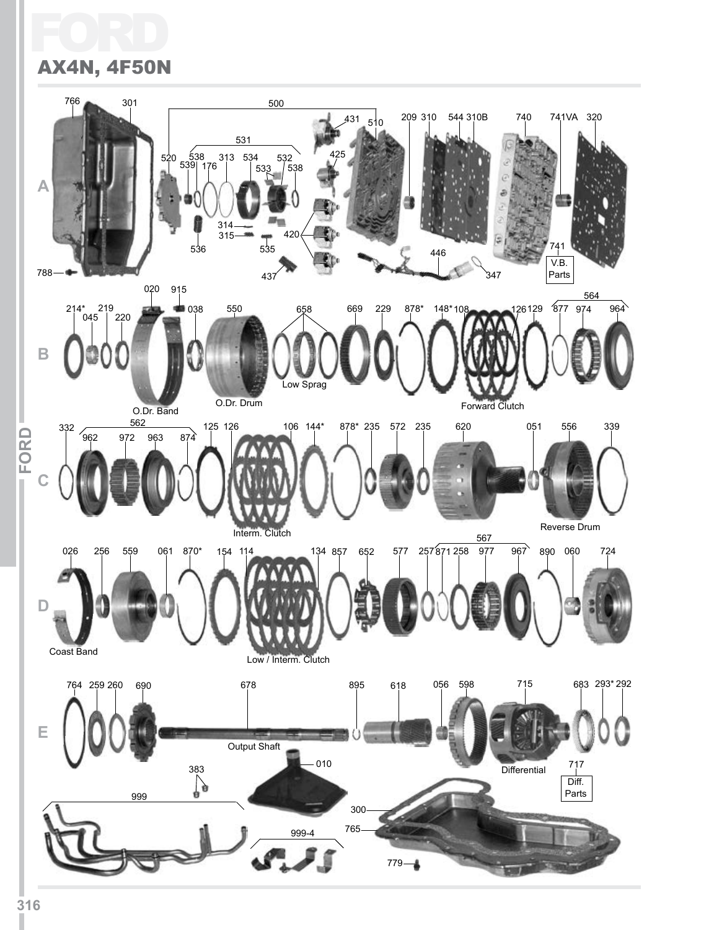#### Ford AX4N, 4F50N

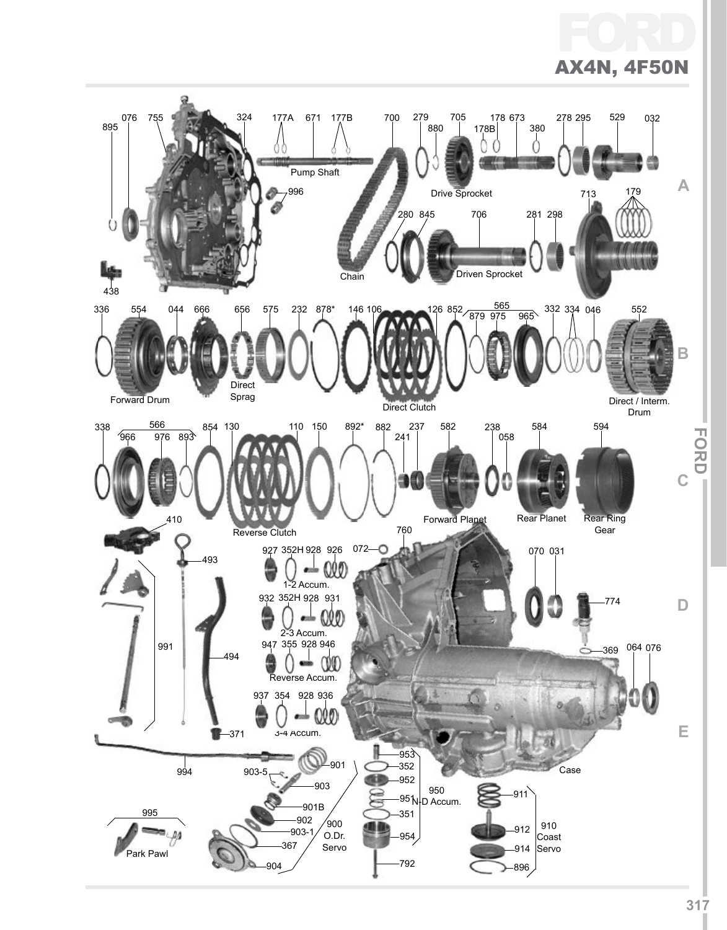#### Ford AX4N, 4F50N

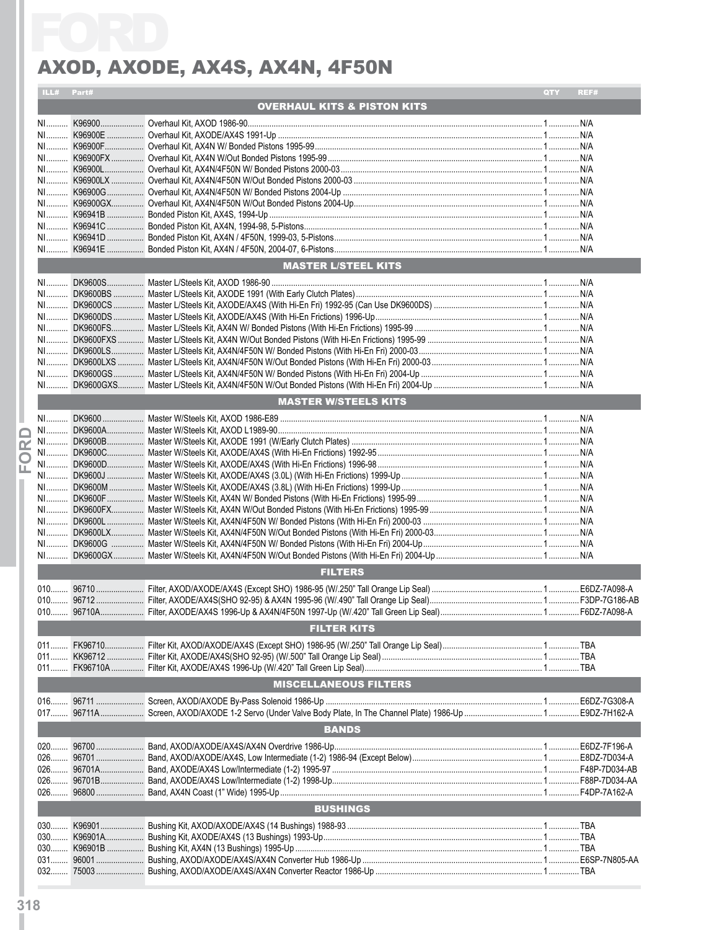|            | AXOD, AXODE, AX4S, AX4N, 4F50N         |             |
|------------|----------------------------------------|-------------|
| ILL# Part# |                                        | QTY<br>REF# |
|            | <b>OVERHAUL KITS &amp; PISTON KITS</b> |             |
|            |                                        |             |
|            |                                        |             |
|            |                                        |             |
|            |                                        |             |
|            |                                        |             |
|            |                                        |             |
|            |                                        |             |
|            |                                        |             |
|            |                                        |             |
|            |                                        |             |
|            | <b>MASTER L/STEEL KITS</b>             |             |
|            |                                        |             |
|            |                                        |             |
|            |                                        |             |
|            |                                        |             |
|            |                                        |             |
|            |                                        |             |
|            |                                        |             |
|            |                                        |             |
|            |                                        |             |
|            |                                        |             |
|            | <b>MASTER W/STEELS KITS</b>            |             |
|            |                                        |             |
|            |                                        |             |
|            |                                        |             |
|            |                                        |             |
|            |                                        |             |
|            |                                        |             |
|            |                                        |             |
|            |                                        |             |
|            |                                        |             |
|            |                                        |             |
|            |                                        |             |
|            | <b>FILTERS</b>                         |             |
|            |                                        |             |
|            |                                        |             |
|            |                                        |             |
|            | <b>FILTER KITS</b>                     |             |
|            |                                        |             |
|            |                                        |             |
|            |                                        |             |
|            |                                        |             |
|            | <b>MISCELLANEOUS FILTERS</b>           |             |
|            |                                        |             |
|            |                                        |             |
|            | <b>BANDS</b>                           |             |
|            |                                        |             |
|            |                                        |             |
|            |                                        |             |
|            |                                        |             |
|            |                                        |             |
|            | <b>BUSHINGS</b>                        |             |
|            |                                        |             |
|            |                                        |             |
|            |                                        |             |
|            |                                        |             |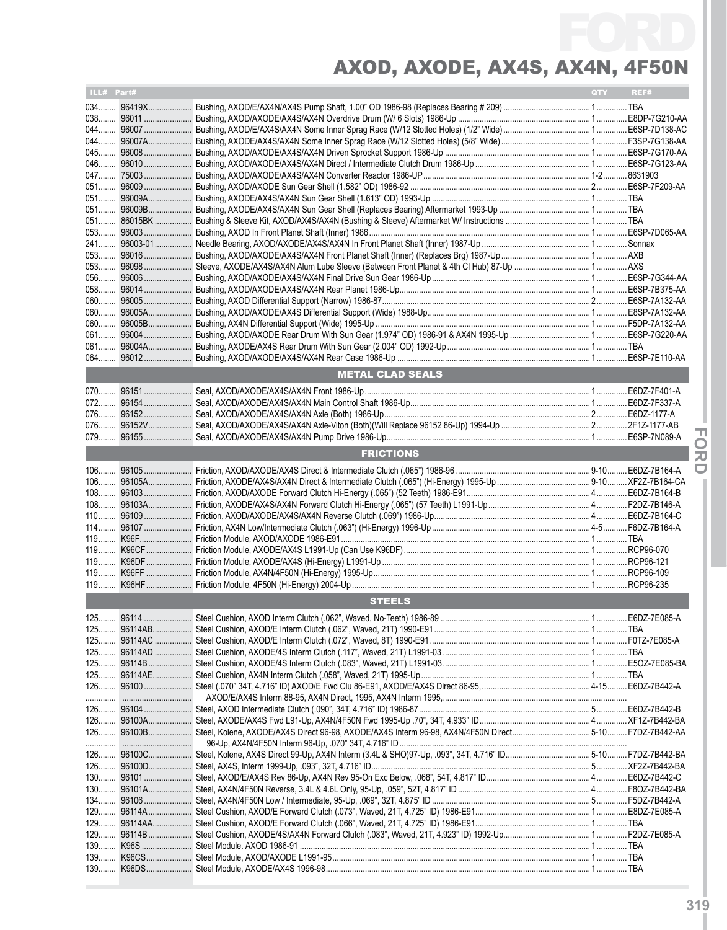| ILL# Part# |             |                         | QTY | REF# |
|------------|-------------|-------------------------|-----|------|
| 034        | 96419X      |                         |     |      |
|            | 038 96011   |                         |     |      |
|            | 044 96007   |                         |     |      |
|            |             |                         |     |      |
|            | 045 96008   |                         |     |      |
| 046        | $96010$     |                         |     |      |
|            | 047 75003   |                         |     |      |
|            | 051 96009   |                         |     |      |
|            | 051 96009A  |                         |     |      |
|            | 051 96009B  |                         |     |      |
|            | 051 86015BK |                         |     |      |
|            | 053 96003   |                         |     |      |
|            |             |                         |     |      |
|            |             |                         |     |      |
| 056        | $96006$     |                         |     |      |
| 058        | $96014$     |                         |     |      |
| 060        | 96005       |                         |     |      |
|            |             |                         |     |      |
|            |             |                         |     |      |
| 061        |             |                         |     |      |
| $061$      |             |                         |     |      |
| $064$      |             |                         |     |      |
|            |             | <b>METAL CLAD SEALS</b> |     |      |
|            |             |                         |     |      |
|            |             |                         |     |      |
|            |             |                         |     |      |
|            |             |                         |     |      |
|            |             |                         |     |      |
|            |             |                         |     |      |
|            |             | <b>FRICTIONS</b>        |     |      |
|            |             |                         |     |      |
|            |             |                         |     |      |
|            |             |                         |     |      |
|            |             |                         |     |      |
|            |             |                         |     |      |
| $114$      |             |                         |     |      |
|            |             |                         |     |      |
|            |             |                         |     |      |
|            |             |                         |     |      |
| $119$      |             |                         |     |      |
|            |             |                         |     |      |
|            |             | <b>STEELS</b>           |     |      |
|            |             |                         |     |      |
|            |             |                         |     |      |
|            |             |                         |     |      |
|            |             |                         |     |      |
|            |             |                         |     |      |
|            |             |                         |     |      |
|            |             |                         |     |      |
|            |             |                         |     |      |
|            |             |                         |     |      |
|            |             |                         |     |      |
|            |             |                         |     |      |
|            |             |                         |     |      |
|            |             |                         |     |      |
|            |             |                         |     |      |
|            |             |                         |     |      |
|            |             |                         |     |      |
|            |             |                         |     |      |
|            |             |                         |     |      |
|            |             |                         |     |      |
|            |             |                         |     |      |
|            |             |                         |     |      |
|            |             |                         |     |      |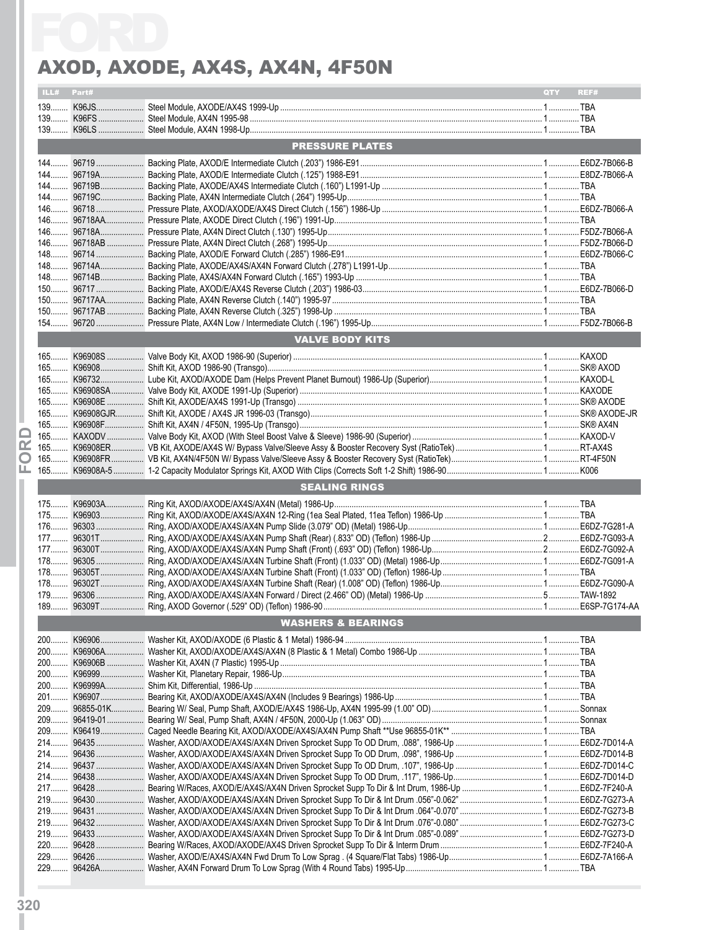|            | AXOD, AXODE, AX4S, AX4N, 4F50N |                    |
|------------|--------------------------------|--------------------|
| ILL# Part# |                                | <b>OTY</b><br>REF# |
|            |                                |                    |
|            |                                |                    |
|            |                                |                    |
|            | <b>PRESSURE PLATES</b>         |                    |
|            |                                |                    |
|            |                                |                    |
|            |                                |                    |
|            |                                |                    |
|            |                                |                    |
|            |                                |                    |
|            |                                |                    |
|            |                                |                    |
|            |                                |                    |
|            |                                |                    |
|            |                                |                    |
|            |                                |                    |
|            |                                |                    |
|            | <b>VALVE BODY KITS</b>         |                    |
|            |                                |                    |
|            |                                |                    |
|            |                                |                    |
|            |                                |                    |
|            |                                |                    |
|            |                                |                    |
|            |                                |                    |
|            |                                |                    |
|            |                                |                    |
|            |                                |                    |
|            | <b>SEALING RINGS</b>           |                    |
|            |                                |                    |
|            |                                |                    |
|            |                                |                    |
|            |                                |                    |
|            |                                |                    |
|            |                                |                    |
|            |                                |                    |
|            |                                |                    |
|            |                                |                    |
|            | <b>WASHERS &amp; BEARINGS</b>  |                    |
|            |                                |                    |
|            |                                |                    |
|            |                                |                    |
|            |                                |                    |
|            |                                |                    |
|            |                                |                    |
|            |                                |                    |
|            |                                |                    |
|            |                                |                    |
|            |                                |                    |
|            |                                |                    |
|            |                                |                    |
|            |                                |                    |
|            |                                |                    |
|            |                                |                    |
|            |                                |                    |
|            |                                |                    |
|            |                                |                    |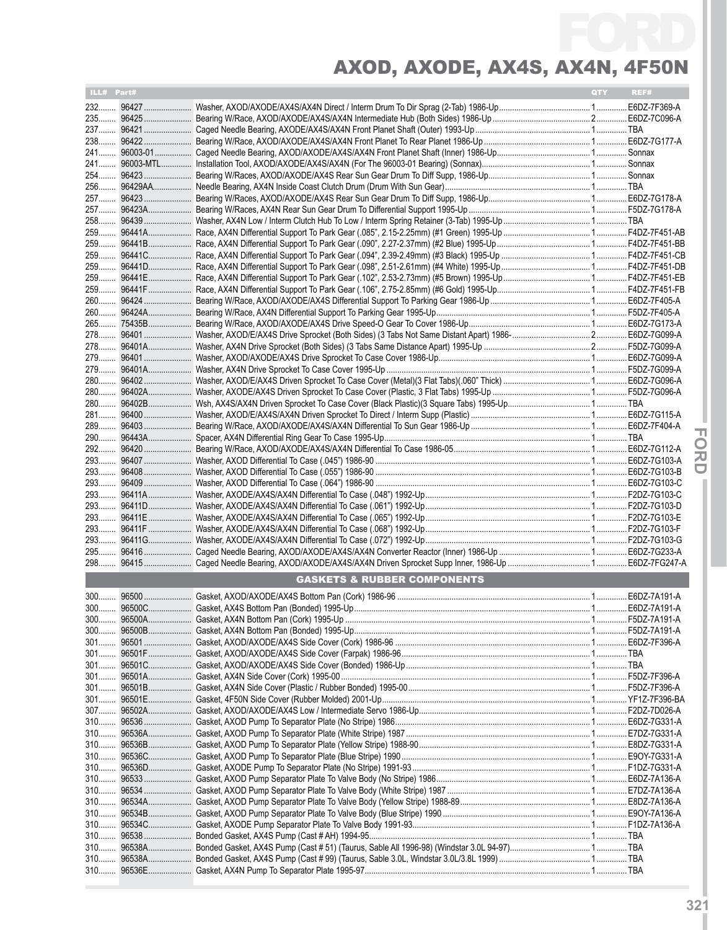| ILL# Part# |                                        | QTY | REF# |
|------------|----------------------------------------|-----|------|
|            |                                        |     |      |
|            |                                        |     |      |
|            |                                        |     |      |
|            |                                        |     |      |
|            |                                        |     |      |
|            |                                        |     |      |
|            |                                        |     |      |
|            |                                        |     |      |
|            |                                        |     |      |
|            |                                        |     |      |
|            |                                        |     |      |
|            |                                        |     |      |
|            |                                        |     |      |
|            |                                        |     |      |
|            |                                        |     |      |
|            |                                        |     |      |
|            |                                        |     |      |
|            |                                        |     |      |
|            |                                        |     |      |
|            |                                        |     |      |
|            |                                        |     |      |
|            |                                        |     |      |
|            |                                        |     |      |
|            |                                        |     |      |
|            |                                        |     |      |
|            |                                        |     |      |
|            |                                        |     |      |
|            |                                        |     |      |
|            |                                        |     |      |
|            |                                        |     |      |
|            |                                        |     |      |
|            |                                        |     |      |
|            |                                        |     |      |
|            |                                        |     |      |
|            |                                        |     |      |
|            |                                        |     |      |
|            |                                        |     |      |
|            |                                        |     |      |
|            |                                        |     |      |
|            |                                        |     |      |
|            |                                        |     |      |
|            | <b>GASKETS &amp; RUBBER COMPONENTS</b> |     |      |
|            |                                        |     |      |
|            |                                        |     |      |
|            |                                        |     |      |
|            |                                        |     |      |
|            |                                        |     |      |
|            |                                        |     |      |
|            |                                        |     |      |
|            |                                        |     |      |
|            |                                        |     |      |
|            |                                        |     |      |
|            |                                        |     |      |
|            |                                        |     |      |
|            |                                        |     |      |
|            |                                        |     |      |
|            |                                        |     |      |
|            |                                        |     |      |
|            |                                        |     |      |
|            |                                        |     |      |
|            |                                        |     |      |
|            |                                        |     |      |
|            |                                        |     |      |
|            |                                        |     |      |
|            |                                        |     |      |
|            |                                        |     |      |
|            |                                        |     |      |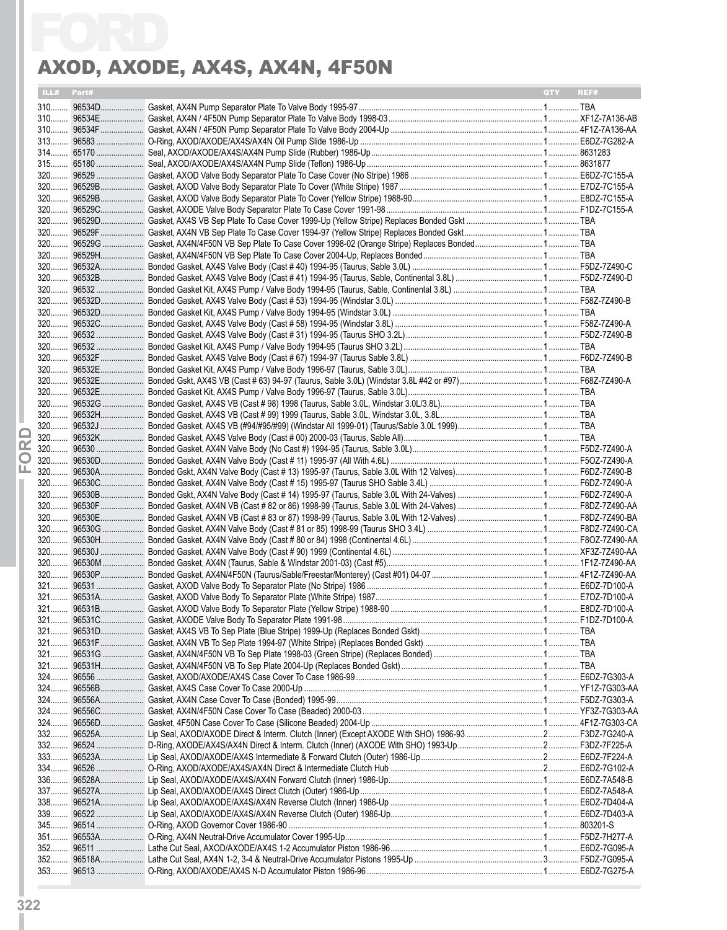|                 | ILL# Part# | QTY<br>REF# |
|-----------------|------------|-------------|
|                 |            |             |
|                 |            |             |
|                 |            |             |
|                 |            |             |
|                 |            |             |
|                 |            |             |
|                 |            |             |
|                 |            |             |
|                 |            |             |
|                 |            |             |
|                 |            |             |
|                 |            |             |
|                 |            |             |
|                 |            |             |
|                 |            |             |
|                 |            |             |
|                 |            |             |
|                 |            |             |
|                 |            |             |
|                 |            |             |
|                 |            |             |
|                 |            |             |
|                 |            |             |
|                 |            |             |
|                 |            |             |
|                 |            |             |
|                 |            |             |
| œ               |            |             |
| $\mathbf\Omega$ |            |             |
| ட               |            |             |
|                 |            |             |
|                 |            |             |
|                 |            |             |
|                 |            |             |
|                 | 320 96530H |             |
|                 |            |             |
|                 |            |             |
|                 |            |             |
|                 |            |             |
|                 |            |             |
|                 |            |             |
|                 |            |             |
| 321             |            |             |
|                 |            |             |
|                 |            |             |
|                 |            |             |
| $324$           |            |             |
| $324$           |            |             |
| $324$           |            |             |
|                 |            |             |
|                 |            |             |
| $332$           |            |             |
| 333<br>$334$    |            |             |
| $336$           |            |             |
|                 |            |             |
| $338$           |            |             |
| 339             |            |             |
| 345             |            |             |
|                 |            |             |
|                 |            |             |
| $352$           |            |             |
| 353             |            |             |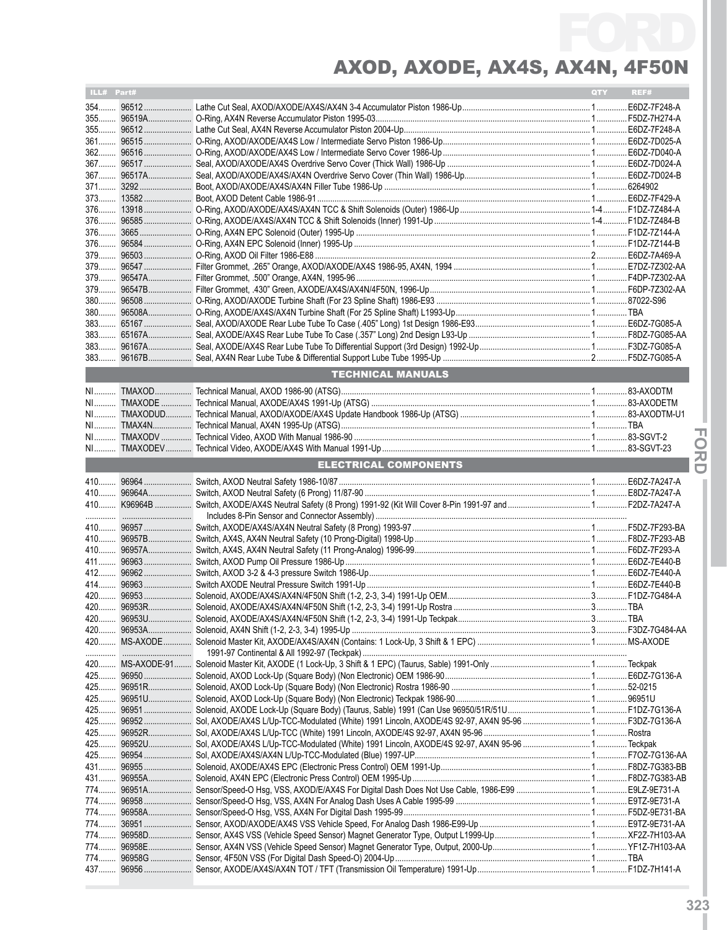| ILL# Part# |        |                                                                                                             | QTY | REF# |
|------------|--------|-------------------------------------------------------------------------------------------------------------|-----|------|
|            |        |                                                                                                             |     |      |
|            |        |                                                                                                             |     |      |
|            |        |                                                                                                             |     |      |
|            |        |                                                                                                             |     |      |
|            |        |                                                                                                             |     |      |
|            |        |                                                                                                             |     |      |
|            |        |                                                                                                             |     |      |
|            |        |                                                                                                             |     |      |
|            |        |                                                                                                             |     |      |
|            |        |                                                                                                             |     |      |
|            |        |                                                                                                             |     |      |
|            |        |                                                                                                             |     |      |
|            |        |                                                                                                             |     |      |
|            |        |                                                                                                             |     |      |
|            |        |                                                                                                             |     |      |
|            |        |                                                                                                             |     |      |
|            |        |                                                                                                             |     |      |
|            |        |                                                                                                             |     |      |
|            |        |                                                                                                             |     |      |
|            |        |                                                                                                             |     |      |
|            |        |                                                                                                             |     |      |
|            |        |                                                                                                             |     |      |
|            |        | <b>TECHNICAL MANUALS</b>                                                                                    |     |      |
|            |        |                                                                                                             |     |      |
|            |        |                                                                                                             |     |      |
|            |        |                                                                                                             |     |      |
|            |        |                                                                                                             |     |      |
|            |        |                                                                                                             |     |      |
|            |        |                                                                                                             |     |      |
|            |        | <b>ELECTRICAL COMPONENTS</b>                                                                                |     |      |
|            |        |                                                                                                             |     |      |
|            |        |                                                                                                             |     |      |
|            |        |                                                                                                             |     |      |
|            |        |                                                                                                             |     |      |
|            |        |                                                                                                             |     |      |
|            |        |                                                                                                             |     |      |
|            |        |                                                                                                             |     |      |
|            |        |                                                                                                             |     |      |
|            |        |                                                                                                             |     |      |
|            |        |                                                                                                             |     |      |
|            |        |                                                                                                             |     |      |
| 420        | 96953U |                                                                                                             |     |      |
|            |        |                                                                                                             |     |      |
|            |        |                                                                                                             |     |      |
|            |        |                                                                                                             |     |      |
|            |        |                                                                                                             |     |      |
|            |        |                                                                                                             |     |      |
|            |        |                                                                                                             |     |      |
|            |        |                                                                                                             |     |      |
|            |        | 425 96952 Sol, AXODE/AX4S L/Up-TCC-Modulated (White) 1991 Lincoln, AXODE/4S 92-97, AX4N 95-96  F3DZ-7G136-A |     |      |
|            |        |                                                                                                             |     |      |
|            |        |                                                                                                             |     |      |
|            |        |                                                                                                             |     |      |
|            |        |                                                                                                             |     |      |
|            |        |                                                                                                             |     |      |
|            |        |                                                                                                             |     |      |
|            |        |                                                                                                             |     |      |
|            |        |                                                                                                             |     |      |
|            |        |                                                                                                             |     |      |
|            |        |                                                                                                             |     |      |
|            |        |                                                                                                             |     |      |
|            |        |                                                                                                             |     |      |
|            |        |                                                                                                             |     |      |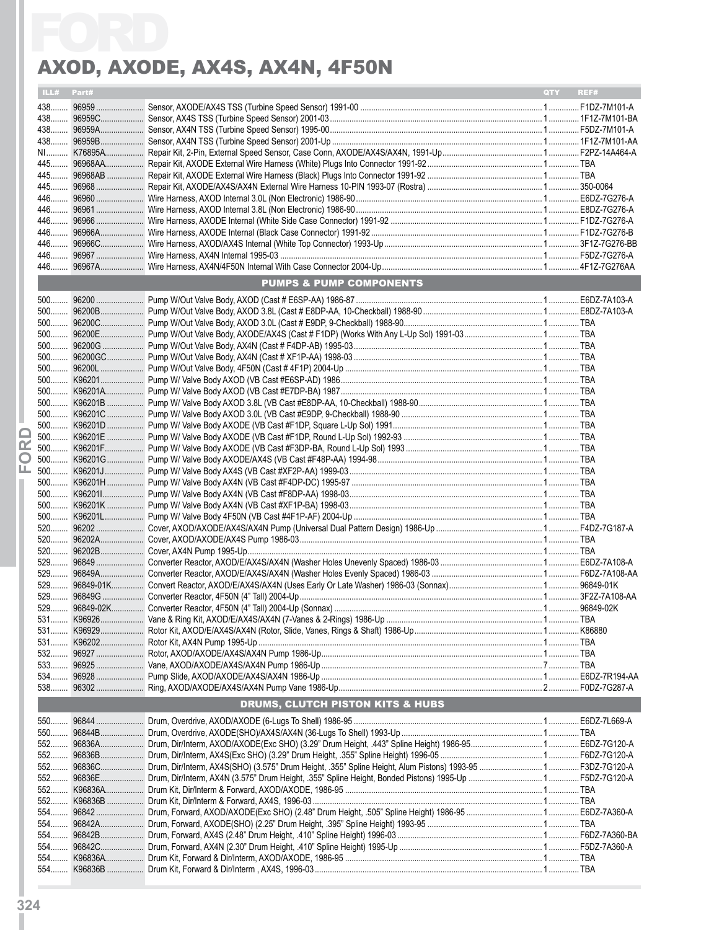|       |            | AXOD, AXODE, AX4S, AX4N, 4F50N                                                                                       |       |      |
|-------|------------|----------------------------------------------------------------------------------------------------------------------|-------|------|
|       | ILL# Part# |                                                                                                                      | QTY - | REF# |
|       |            |                                                                                                                      |       |      |
|       |            |                                                                                                                      |       |      |
|       |            |                                                                                                                      |       |      |
|       |            |                                                                                                                      |       |      |
|       |            |                                                                                                                      |       |      |
|       |            |                                                                                                                      |       |      |
|       |            |                                                                                                                      |       |      |
|       |            |                                                                                                                      |       |      |
|       |            |                                                                                                                      |       |      |
|       |            |                                                                                                                      |       |      |
|       |            |                                                                                                                      |       |      |
|       |            |                                                                                                                      |       |      |
|       |            |                                                                                                                      |       |      |
|       |            | <b>PUMPS &amp; PUMP COMPONENTS</b>                                                                                   |       |      |
|       |            |                                                                                                                      |       |      |
|       |            |                                                                                                                      |       |      |
|       |            |                                                                                                                      |       |      |
|       |            |                                                                                                                      |       |      |
|       |            |                                                                                                                      |       |      |
|       |            |                                                                                                                      |       |      |
|       |            |                                                                                                                      |       |      |
|       |            |                                                                                                                      |       |      |
|       |            |                                                                                                                      |       |      |
|       |            |                                                                                                                      |       |      |
|       |            |                                                                                                                      |       |      |
|       |            |                                                                                                                      |       |      |
|       |            |                                                                                                                      |       |      |
|       |            |                                                                                                                      |       |      |
|       |            |                                                                                                                      |       |      |
|       |            |                                                                                                                      |       |      |
|       |            |                                                                                                                      |       |      |
|       |            |                                                                                                                      |       |      |
|       |            |                                                                                                                      |       |      |
|       |            |                                                                                                                      |       |      |
|       |            |                                                                                                                      |       |      |
|       |            |                                                                                                                      |       |      |
|       |            |                                                                                                                      |       |      |
|       |            |                                                                                                                      |       |      |
| $529$ |            |                                                                                                                      |       |      |
|       |            |                                                                                                                      |       |      |
|       |            |                                                                                                                      |       |      |
|       |            |                                                                                                                      |       |      |
|       |            |                                                                                                                      |       |      |
|       |            |                                                                                                                      |       |      |
|       |            |                                                                                                                      |       |      |
|       |            | <b>DRUMS, CLUTCH PISTON KITS &amp; HUBS</b>                                                                          |       |      |
| 550   |            |                                                                                                                      |       |      |
|       |            |                                                                                                                      |       |      |
|       |            |                                                                                                                      |       |      |
|       |            |                                                                                                                      |       |      |
|       |            | 552 96836C Drum, Dir/Interm, AX4S(SHO) (3.575" Drum Height, .355" Spline Height, Alum Pistons) 1993-95  F3DZ-7G120-A |       |      |
|       |            |                                                                                                                      |       |      |
|       |            |                                                                                                                      |       |      |
|       |            |                                                                                                                      |       |      |
|       |            |                                                                                                                      |       |      |
| $554$ |            |                                                                                                                      |       |      |
|       |            |                                                                                                                      |       |      |
|       |            |                                                                                                                      |       |      |
|       |            |                                                                                                                      |       |      |
|       |            |                                                                                                                      |       |      |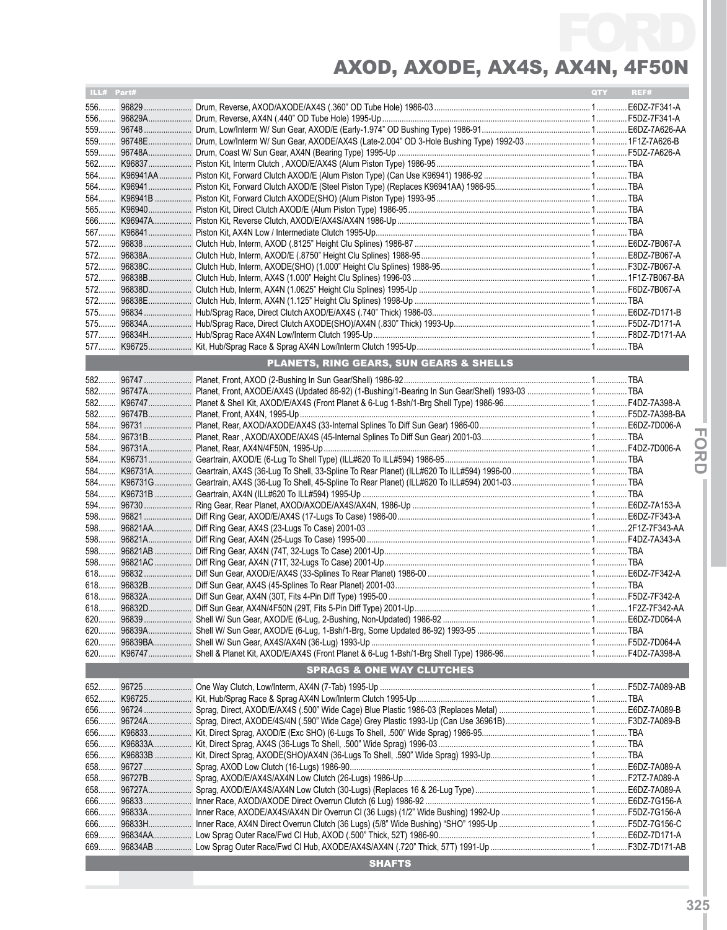| ILL# Part# |                                         | QTY REF# |  |
|------------|-----------------------------------------|----------|--|
|            |                                         |          |  |
|            |                                         |          |  |
|            |                                         |          |  |
|            |                                         |          |  |
|            |                                         |          |  |
|            |                                         |          |  |
|            |                                         |          |  |
|            |                                         |          |  |
|            |                                         |          |  |
|            |                                         |          |  |
|            |                                         |          |  |
|            |                                         |          |  |
|            |                                         |          |  |
|            |                                         |          |  |
|            |                                         |          |  |
|            |                                         |          |  |
|            |                                         |          |  |
|            |                                         |          |  |
|            |                                         |          |  |
|            |                                         |          |  |
|            |                                         |          |  |
|            | PLANETS, RING GEARS, SUN GEARS & SHELLS |          |  |
|            |                                         |          |  |
|            |                                         |          |  |
|            |                                         |          |  |
|            |                                         |          |  |
|            |                                         |          |  |
|            |                                         |          |  |
|            |                                         |          |  |
|            |                                         |          |  |
|            |                                         |          |  |
|            |                                         |          |  |
|            |                                         |          |  |
|            |                                         |          |  |
|            |                                         |          |  |
|            |                                         |          |  |
|            |                                         |          |  |
|            |                                         |          |  |
|            |                                         |          |  |
|            |                                         |          |  |
|            |                                         |          |  |
|            |                                         |          |  |
|            |                                         |          |  |
|            |                                         |          |  |
|            |                                         |          |  |
|            |                                         |          |  |
|            |                                         |          |  |
|            | <b>SPRAGS &amp; ONE WAY CLUTCHES</b>    |          |  |
|            |                                         |          |  |
|            |                                         |          |  |
|            |                                         |          |  |
|            |                                         |          |  |
|            |                                         |          |  |
|            |                                         |          |  |
|            |                                         |          |  |
|            |                                         |          |  |
|            |                                         |          |  |
|            |                                         |          |  |
|            |                                         |          |  |
|            |                                         |          |  |
|            |                                         |          |  |
| 669        |                                         |          |  |
|            |                                         |          |  |
|            | <b>SHAFTS</b>                           |          |  |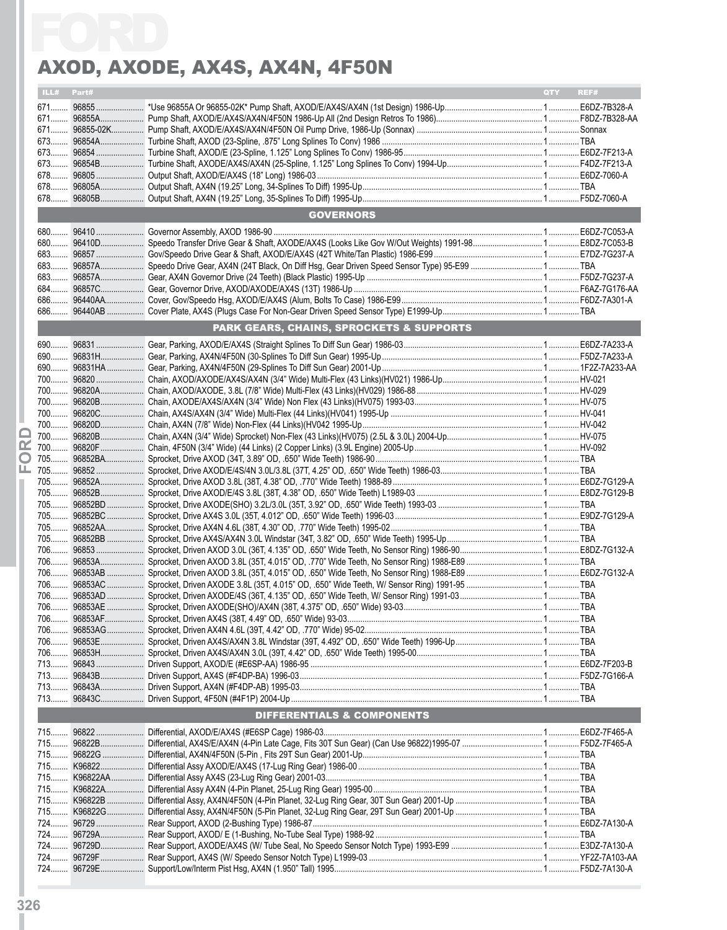|       |            | AXOD, AXODE, AX4S, AX4N, 4F50N                      |     |      |
|-------|------------|-----------------------------------------------------|-----|------|
|       | ILL# Part# |                                                     | QTY | REF# |
|       |            |                                                     |     |      |
|       |            |                                                     |     |      |
|       |            |                                                     |     |      |
|       |            |                                                     |     |      |
|       |            |                                                     |     |      |
|       |            |                                                     |     |      |
|       |            |                                                     |     |      |
|       |            |                                                     |     |      |
|       |            | <b>GOVERNORS</b>                                    |     |      |
|       |            |                                                     |     |      |
|       |            |                                                     |     |      |
| 683   |            |                                                     |     |      |
|       |            |                                                     |     |      |
|       |            |                                                     |     |      |
|       |            |                                                     |     |      |
|       |            |                                                     |     |      |
|       |            |                                                     |     |      |
|       |            | <b>PARK GEARS, CHAINS, SPROCKETS &amp; SUPPORTS</b> |     |      |
|       |            |                                                     |     |      |
|       |            |                                                     |     |      |
|       |            |                                                     |     |      |
|       |            |                                                     |     |      |
|       |            |                                                     |     |      |
|       |            |                                                     |     |      |
|       |            |                                                     |     |      |
|       |            |                                                     |     |      |
|       |            |                                                     |     |      |
|       |            |                                                     |     |      |
|       |            |                                                     |     |      |
|       |            |                                                     |     |      |
|       |            |                                                     |     |      |
|       |            |                                                     |     |      |
|       |            |                                                     |     |      |
|       |            |                                                     |     |      |
|       |            |                                                     |     |      |
|       |            |                                                     |     |      |
| $706$ |            |                                                     |     |      |
|       |            |                                                     |     |      |
|       |            |                                                     |     |      |
|       |            |                                                     |     |      |
|       |            |                                                     |     |      |
|       |            |                                                     |     |      |
|       |            |                                                     |     |      |
|       |            |                                                     |     |      |
| 713   |            |                                                     |     |      |
|       |            |                                                     |     |      |
|       |            |                                                     |     |      |
|       |            | DIFFERENTIALS & COMPONENTS                          |     |      |
|       |            |                                                     |     |      |
|       |            |                                                     |     |      |
|       |            |                                                     |     |      |
|       |            |                                                     |     |      |
|       |            |                                                     |     |      |
|       |            |                                                     |     |      |
|       |            |                                                     |     |      |
|       |            |                                                     |     |      |
|       |            |                                                     |     |      |
|       |            |                                                     |     |      |
|       |            |                                                     |     |      |
|       |            |                                                     |     |      |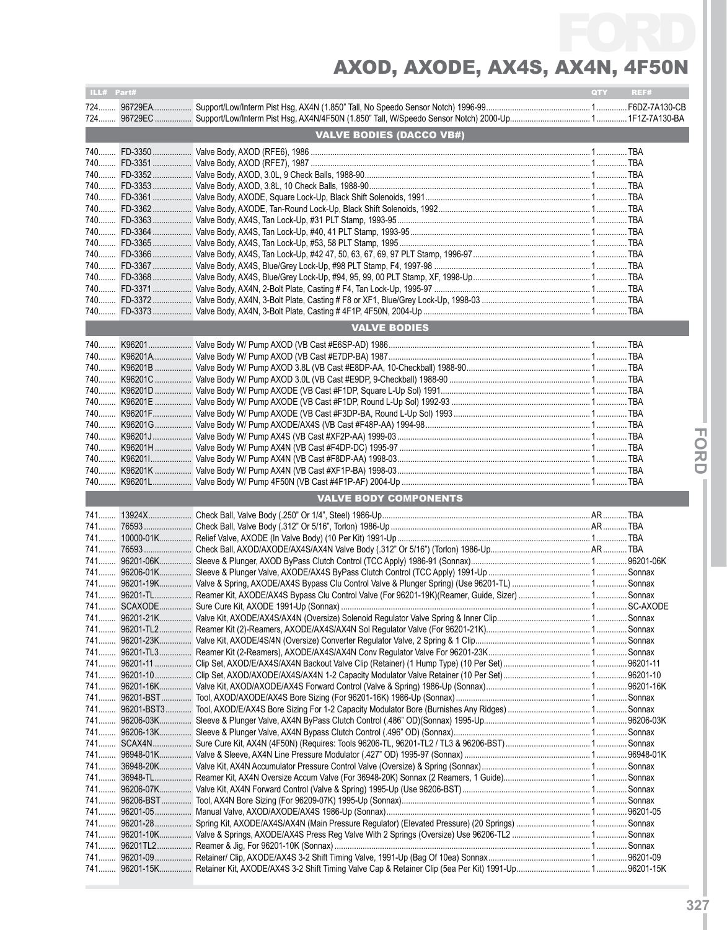| ILL# Part# |                                 | QTY <b>Q</b> | REF# |
|------------|---------------------------------|--------------|------|
|            |                                 |              |      |
|            |                                 |              |      |
|            |                                 |              |      |
|            | <b>VALVE BODIES (DACCO VB#)</b> |              |      |
|            |                                 |              |      |
|            |                                 |              |      |
|            |                                 |              |      |
|            |                                 |              |      |
|            |                                 |              |      |
|            |                                 |              |      |
|            |                                 |              |      |
|            |                                 |              |      |
|            |                                 |              |      |
|            |                                 |              |      |
|            |                                 |              |      |
|            |                                 |              |      |
|            |                                 |              |      |
|            |                                 |              |      |
|            |                                 |              |      |
|            |                                 |              |      |
|            | <b>VALVE BODIES</b>             |              |      |
|            |                                 |              |      |
|            |                                 |              |      |
|            |                                 |              |      |
|            |                                 |              |      |
|            |                                 |              |      |
|            |                                 |              |      |
|            |                                 |              |      |
|            |                                 |              |      |
|            |                                 |              |      |
|            |                                 |              |      |
|            |                                 |              |      |
|            |                                 |              |      |
|            |                                 |              |      |
|            |                                 |              |      |
|            |                                 |              |      |
|            | <b>VALVE BODY COMPONENTS</b>    |              |      |
|            |                                 |              |      |
|            |                                 |              |      |
|            |                                 |              |      |
|            |                                 |              |      |
|            |                                 |              |      |
|            |                                 |              |      |
|            |                                 |              |      |
|            |                                 |              |      |
|            |                                 |              |      |
|            |                                 |              |      |
| 741        |                                 |              |      |
|            |                                 |              |      |
|            |                                 |              |      |
|            |                                 |              |      |
|            |                                 |              |      |
|            |                                 |              |      |
|            |                                 |              |      |
|            |                                 |              |      |
|            |                                 |              |      |
|            |                                 |              |      |
|            |                                 |              |      |
|            |                                 |              |      |
|            |                                 |              |      |
|            |                                 |              |      |
|            |                                 |              |      |
|            |                                 |              |      |
|            |                                 |              |      |
|            |                                 |              |      |
|            |                                 |              |      |
|            |                                 |              |      |
|            |                                 |              |      |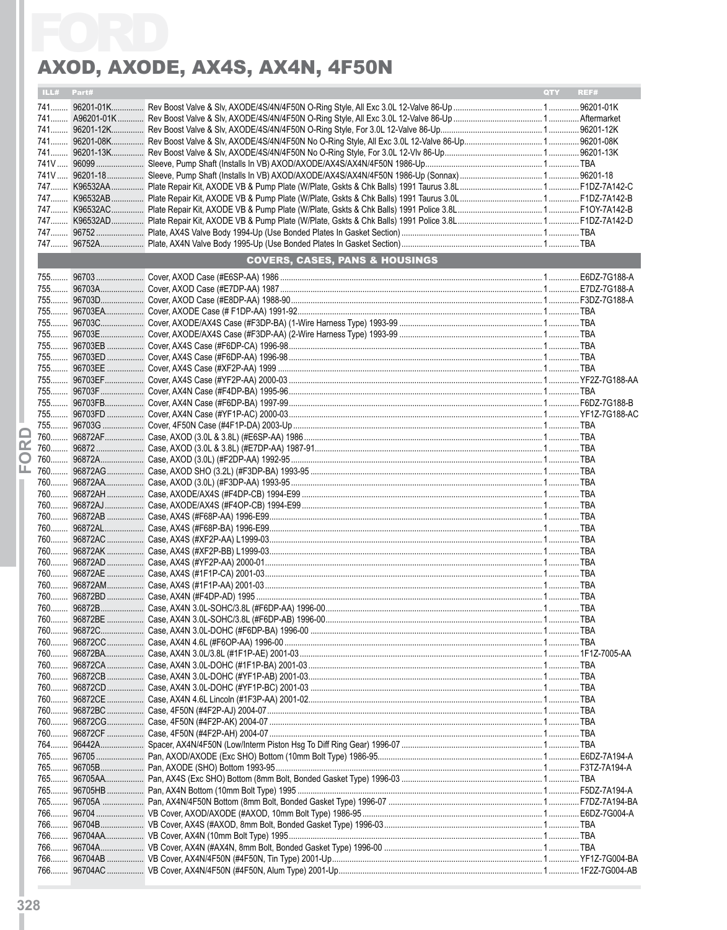| ILL#   | Part# |                                           | QTY | REF# |
|--------|-------|-------------------------------------------|-----|------|
|        |       |                                           |     |      |
|        |       |                                           |     |      |
|        |       |                                           |     |      |
|        |       |                                           |     |      |
|        |       |                                           |     |      |
|        |       |                                           |     |      |
|        |       |                                           |     |      |
|        |       |                                           |     |      |
|        |       |                                           |     |      |
|        |       |                                           |     |      |
|        |       |                                           |     |      |
|        |       |                                           |     |      |
|        |       | <b>COVERS, CASES, PANS &amp; HOUSINGS</b> |     |      |
|        |       |                                           |     |      |
|        |       |                                           |     |      |
|        |       |                                           |     |      |
|        |       |                                           |     |      |
|        |       |                                           |     |      |
|        |       |                                           |     |      |
|        |       |                                           |     |      |
|        |       |                                           |     |      |
|        |       |                                           |     |      |
|        |       |                                           |     |      |
|        |       |                                           |     |      |
|        |       |                                           |     |      |
| ⊏      |       |                                           |     |      |
| œ      |       |                                           |     |      |
| $\Box$ |       |                                           |     |      |
| ட      |       |                                           |     |      |
|        |       |                                           |     |      |
|        |       |                                           |     |      |
|        |       |                                           |     |      |
|        |       |                                           |     |      |
|        |       |                                           |     |      |
|        |       |                                           |     |      |
|        |       |                                           |     |      |
|        |       |                                           |     |      |
|        |       |                                           |     |      |
|        |       |                                           |     |      |
|        |       |                                           |     |      |
|        |       |                                           |     |      |
|        |       |                                           |     |      |
|        |       |                                           |     |      |
|        |       |                                           |     |      |
|        |       |                                           |     |      |
|        |       |                                           |     |      |
|        |       |                                           |     |      |
|        |       |                                           |     |      |
|        |       |                                           |     |      |
|        |       |                                           |     |      |
|        |       |                                           |     |      |
|        |       |                                           |     |      |
|        |       |                                           |     |      |
|        |       |                                           |     |      |
|        |       |                                           |     |      |
|        |       |                                           |     |      |
|        |       |                                           |     |      |
| 766    |       |                                           |     |      |
|        |       |                                           |     |      |
|        |       |                                           |     |      |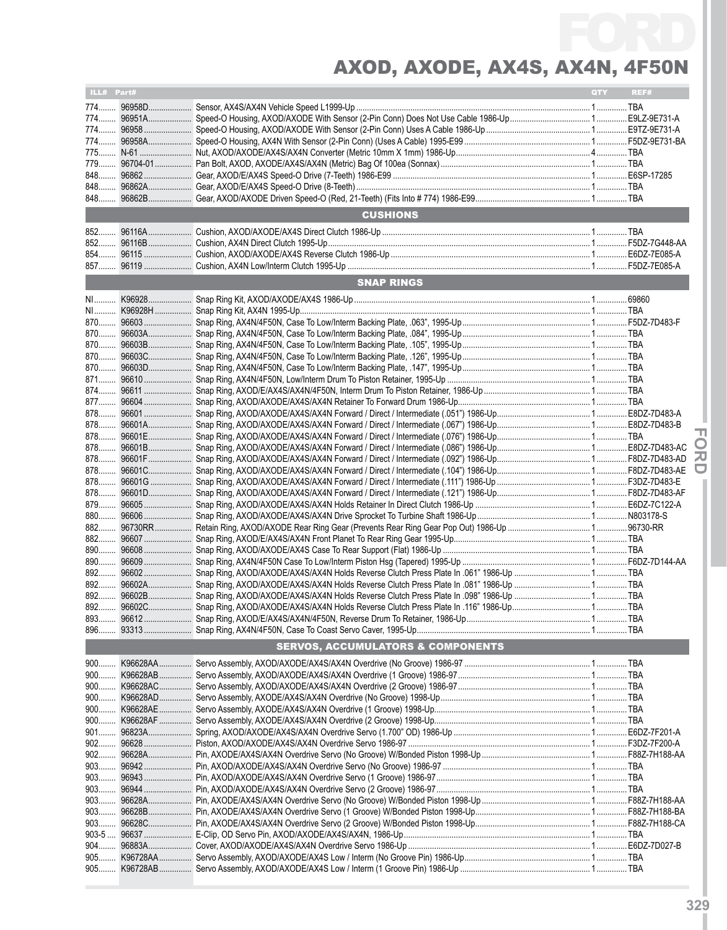| ILL# Part#       |          |                                                                                                | <b>QTY</b> | REF# |
|------------------|----------|------------------------------------------------------------------------------------------------|------------|------|
| 774              | 96958D   |                                                                                                |            |      |
|                  |          |                                                                                                |            |      |
|                  |          |                                                                                                |            |      |
|                  |          |                                                                                                |            |      |
|                  |          |                                                                                                |            |      |
|                  |          |                                                                                                |            |      |
| 848              |          |                                                                                                |            |      |
|                  |          |                                                                                                |            |      |
| $848$            |          |                                                                                                |            |      |
|                  |          | <b>CUSHIONS</b>                                                                                |            |      |
|                  |          |                                                                                                |            |      |
| 852              |          |                                                                                                |            |      |
| 854              |          |                                                                                                |            |      |
|                  |          |                                                                                                |            |      |
|                  |          | <b>SNAP RINGS</b>                                                                              |            |      |
|                  |          |                                                                                                |            |      |
|                  |          |                                                                                                |            |      |
|                  |          |                                                                                                |            |      |
|                  |          |                                                                                                |            |      |
|                  |          |                                                                                                |            |      |
| 870              |          |                                                                                                |            |      |
| 870<br>871       |          |                                                                                                |            |      |
|                  |          |                                                                                                |            |      |
| 877              |          |                                                                                                |            |      |
| 878              |          |                                                                                                |            |      |
| 878              |          |                                                                                                |            |      |
| 878              |          |                                                                                                |            |      |
|                  |          |                                                                                                |            |      |
| 878              |          |                                                                                                |            |      |
| 878              |          |                                                                                                |            |      |
| 878              |          |                                                                                                |            |      |
| 878              |          |                                                                                                |            |      |
|                  |          |                                                                                                |            |      |
| 880              |          |                                                                                                |            |      |
| 882              |          |                                                                                                |            |      |
| 882              |          |                                                                                                |            |      |
| 890              |          |                                                                                                |            |      |
| 890              |          |                                                                                                |            |      |
| 892<br>892       |          |                                                                                                |            |      |
| 892              |          | 96602B  Snap Ring, AXOD/AXODE/AX4S/AX4N Holds Reverse Clutch Press Plate In .098" 1986-Up  TBA |            |      |
|                  |          |                                                                                                |            |      |
|                  |          |                                                                                                |            |      |
|                  |          |                                                                                                |            |      |
|                  |          | <b>SERVOS, ACCUMULATORS &amp; COMPONENTS</b>                                                   |            |      |
| 900              | K96628AA |                                                                                                |            |      |
| $900$            | K96628AB |                                                                                                |            |      |
|                  |          |                                                                                                |            |      |
|                  |          |                                                                                                |            |      |
|                  |          |                                                                                                |            |      |
|                  |          |                                                                                                |            |      |
|                  |          |                                                                                                |            |      |
|                  |          |                                                                                                |            |      |
|                  |          |                                                                                                |            |      |
|                  |          |                                                                                                |            |      |
| $903$            |          |                                                                                                |            |      |
| $903$            |          |                                                                                                |            |      |
|                  |          |                                                                                                |            |      |
|                  |          |                                                                                                |            |      |
| 903<br>$903 - 5$ |          |                                                                                                |            |      |
| $904$            |          |                                                                                                |            |      |
|                  |          |                                                                                                |            |      |
|                  |          |                                                                                                |            |      |
|                  |          |                                                                                                |            |      |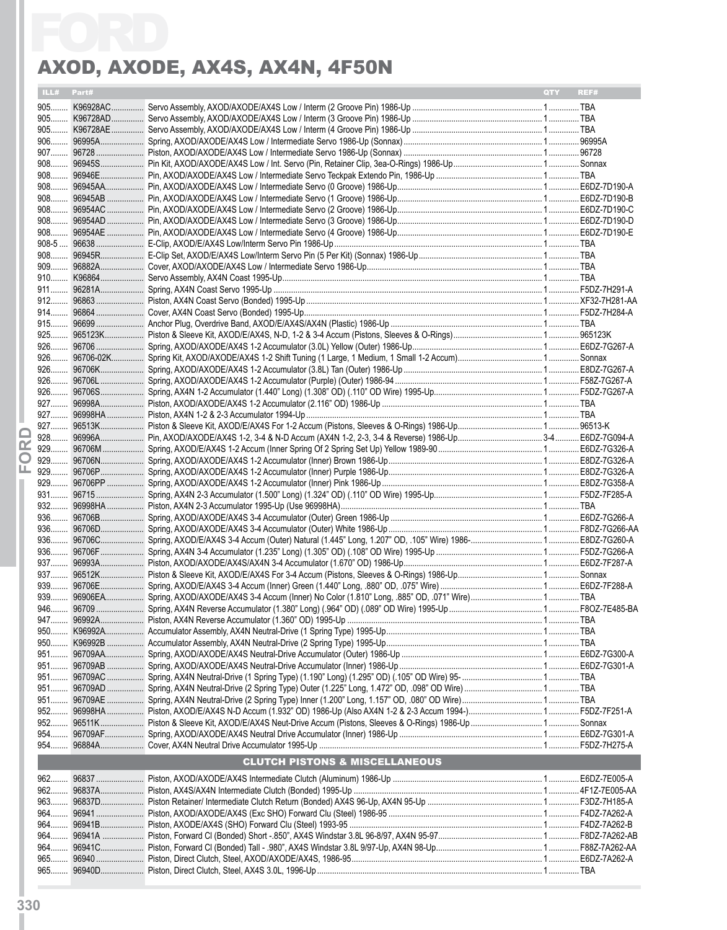|    |            | AXOD, AXODE, AX4S, AX4N, 4F50N            |            |      |
|----|------------|-------------------------------------------|------------|------|
|    | ILL# Part# |                                           | <b>OTY</b> | REF# |
|    |            |                                           |            |      |
|    |            |                                           |            |      |
|    |            |                                           |            |      |
|    |            |                                           |            |      |
|    |            |                                           |            |      |
|    |            |                                           |            |      |
|    |            |                                           |            |      |
|    |            |                                           |            |      |
|    |            |                                           |            |      |
|    |            |                                           |            |      |
|    |            |                                           |            |      |
|    |            |                                           |            |      |
|    |            |                                           |            |      |
|    |            |                                           |            |      |
|    |            |                                           |            |      |
|    |            |                                           |            |      |
|    |            |                                           |            |      |
|    |            |                                           |            |      |
|    |            |                                           |            |      |
|    |            |                                           |            |      |
|    |            |                                           |            |      |
|    |            |                                           |            |      |
|    |            |                                           |            |      |
|    |            |                                           |            |      |
|    |            |                                           |            |      |
|    |            |                                           |            |      |
| Œ. |            |                                           |            |      |
| O  |            |                                           |            |      |
| ட  |            |                                           |            |      |
|    |            |                                           |            |      |
|    |            |                                           |            |      |
|    |            |                                           |            |      |
|    |            |                                           |            |      |
|    |            |                                           |            |      |
|    |            |                                           |            |      |
|    |            |                                           |            |      |
|    |            |                                           |            |      |
|    |            |                                           |            |      |
|    |            |                                           |            |      |
|    |            |                                           |            |      |
|    |            |                                           |            |      |
|    |            |                                           |            |      |
|    |            |                                           |            |      |
|    |            |                                           |            |      |
|    |            |                                           |            |      |
|    |            |                                           |            |      |
|    |            |                                           |            |      |
|    |            |                                           |            |      |
|    |            |                                           |            |      |
|    |            |                                           |            |      |
|    |            | <b>CLUTCH PISTONS &amp; MISCELLANEOUS</b> |            |      |
|    |            |                                           |            |      |
|    |            |                                           |            |      |
|    |            |                                           |            |      |
|    |            |                                           |            |      |
|    |            |                                           |            |      |
|    |            |                                           |            |      |
|    |            |                                           |            |      |
|    |            |                                           |            |      |